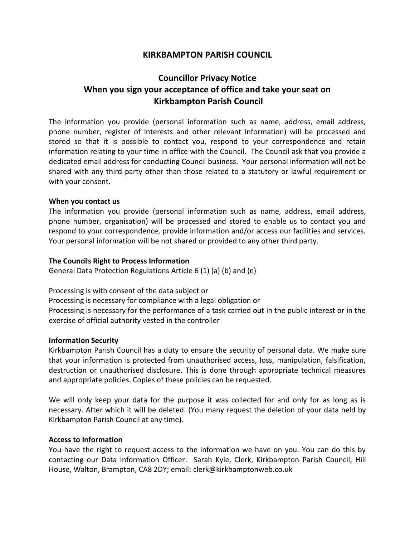## **KIRKBAMPTON PARISH COUNCIL**

# **Councillor Privacy Notice When you sign your acceptance of office and take your seat on Kirkbampton Parish Council**

The information you provide (personal information such as name, address, email address, phone number, register of interests and other relevant information) will be processed and stored so that it is possible to contact you, respond to your correspondence and retain information relating to your time in office with the Council. The Council ask that you provide a dedicated email address for conducting Council business. Your personal information will not be shared with any third party other than those related to a statutory or lawful requirement or with your consent.

## **When you contact us**

The information you provide (personal information such as name, address, email address, phone number, organisation) will be processed and stored to enable us to contact you and respond to your correspondence, provide information and/or access our facilities and services. Your personal information will be not shared or provided to any other third party.

## **The Councils Right to Process Information**

General Data Protection Regulations Article 6 (1) (a) (b) and (e)

Processing is with consent of the data subject or

Processing is necessary for compliance with a legal obligation or

Processing is necessary for the performance of a task carried out in the public interest or in the exercise of official authority vested in the controller

## **Information Security**

Kirkbampton Parish Council has a duty to ensure the security of personal data. We make sure that your information is protected from unauthorised access, loss, manipulation, falsification, destruction or unauthorised disclosure. This is done through appropriate technical measures and appropriate policies. Copies of these policies can be requested.

We will only keep your data for the purpose it was collected for and only for as long as is necessary. After which it will be deleted. (You many request the deletion of your data held by Kirkbampton Parish Council at any time).

## **Access to Information**

You have the right to request access to the information we have on you. You can do this by contacting our Data Information Officer: Sarah Kyle, Clerk, Kirkbampton Parish Council, Hill House, Walton, Brampton, CA8 2DY; email: clerk@kirkbamptonweb.co.uk